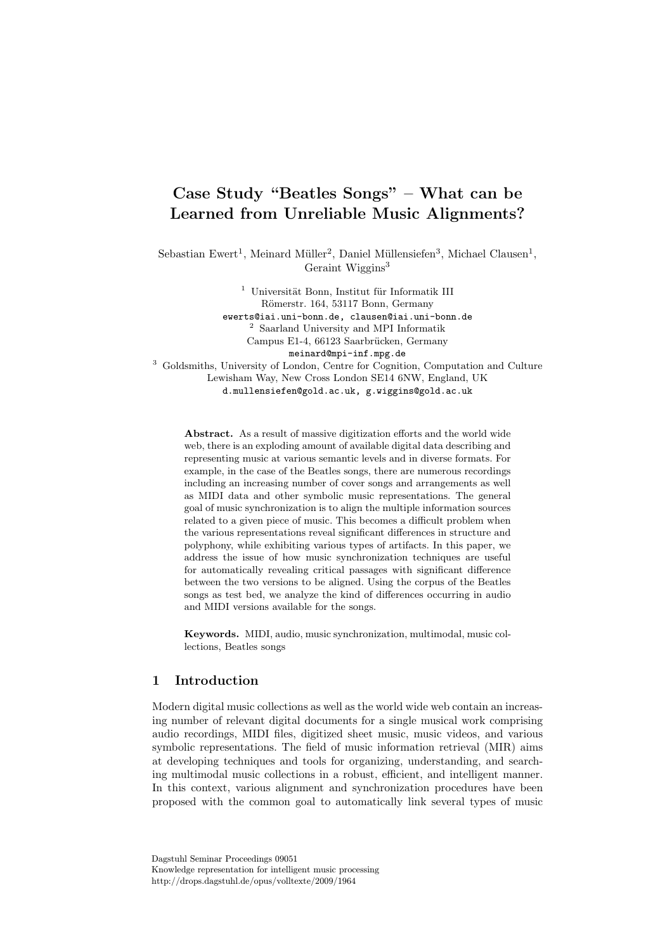## Case Study "Beatles Songs" – What can be Learned from Unreliable Music Alignments?

Sebastian Ewert<sup>1</sup>, Meinard Müller<sup>2</sup>, Daniel Müllensiefen<sup>3</sup>, Michael Clausen<sup>1</sup>, Geraint Wiggins<sup>3</sup>

> $1$  Universität Bonn, Institut für Informatik III Römerstr. 164, 53117 Bonn, Germany ewerts@iai.uni-bonn.de, clausen@iai.uni-bonn.de <sup>2</sup> Saarland University and MPI Informatik Campus E1-4, 66123 Saarbrücken, Germany meinard@mpi-inf.mpg.de

<sup>3</sup> Goldsmiths, University of London, Centre for Cognition, Computation and Culture Lewisham Way, New Cross London SE14 6NW, England, UK d.mullensiefen@gold.ac.uk, g.wiggins@gold.ac.uk

Abstract. As a result of massive digitization efforts and the world wide web, there is an exploding amount of available digital data describing and representing music at various semantic levels and in diverse formats. For example, in the case of the Beatles songs, there are numerous recordings including an increasing number of cover songs and arrangements as well as MIDI data and other symbolic music representations. The general goal of music synchronization is to align the multiple information sources related to a given piece of music. This becomes a difficult problem when the various representations reveal significant differences in structure and polyphony, while exhibiting various types of artifacts. In this paper, we address the issue of how music synchronization techniques are useful for automatically revealing critical passages with significant difference between the two versions to be aligned. Using the corpus of the Beatles songs as test bed, we analyze the kind of differences occurring in audio and MIDI versions available for the songs.

Keywords. MIDI, audio, music synchronization, multimodal, music collections, Beatles songs

## 1 Introduction

Modern digital music collections as well as the world wide web contain an increasing number of relevant digital documents for a single musical work comprising audio recordings, MIDI files, digitized sheet music, music videos, and various symbolic representations. The field of music information retrieval (MIR) aims at developing techniques and tools for organizing, understanding, and searching multimodal music collections in a robust, efficient, and intelligent manner. In this context, various alignment and synchronization procedures have been proposed with the common goal to automatically link several types of music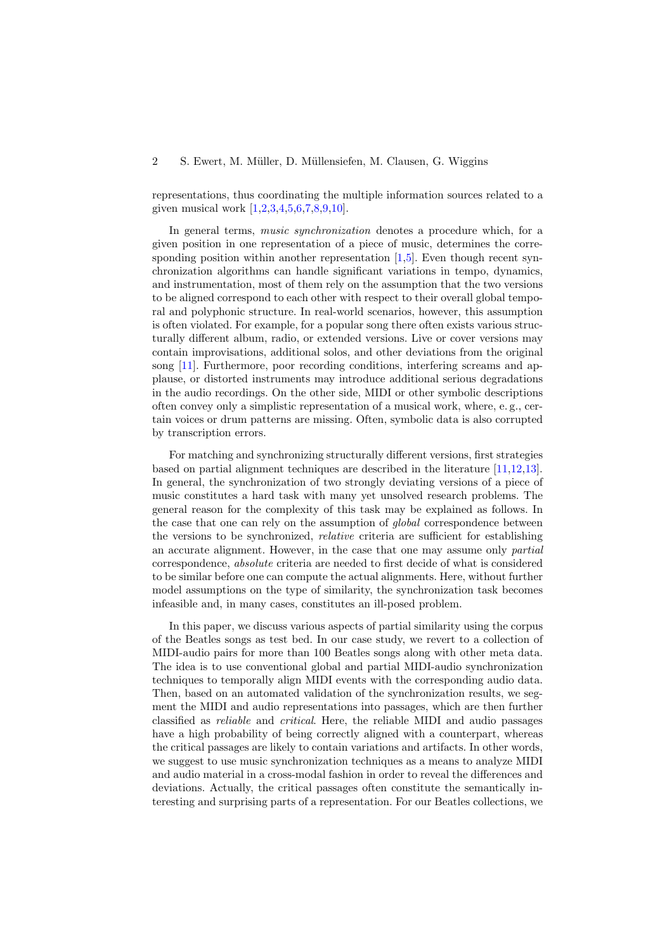representations, thus coordinating the multiple information sources related to a given musical work [\[1](#page-12-0)[,2](#page-12-1)[,3](#page-13-0)[,4,](#page-13-1)[5](#page-13-2)[,6](#page-13-3)[,7](#page-13-4)[,8,](#page-13-5)[9](#page-13-6)[,10\]](#page-13-7).

In general terms, music synchronization denotes a procedure which, for a given position in one representation of a piece of music, determines the corre-sponding position within another representation [\[1](#page-12-0)[,5\]](#page-13-2). Even though recent synchronization algorithms can handle significant variations in tempo, dynamics, and instrumentation, most of them rely on the assumption that the two versions to be aligned correspond to each other with respect to their overall global temporal and polyphonic structure. In real-world scenarios, however, this assumption is often violated. For example, for a popular song there often exists various structurally different album, radio, or extended versions. Live or cover versions may contain improvisations, additional solos, and other deviations from the original song [\[11\]](#page-13-8). Furthermore, poor recording conditions, interfering screams and applause, or distorted instruments may introduce additional serious degradations in the audio recordings. On the other side, MIDI or other symbolic descriptions often convey only a simplistic representation of a musical work, where, e. g., certain voices or drum patterns are missing. Often, symbolic data is also corrupted by transcription errors.

For matching and synchronizing structurally different versions, first strategies based on partial alignment techniques are described in the literature [\[11,](#page-13-8)[12](#page-13-9)[,13\]](#page-13-10). In general, the synchronization of two strongly deviating versions of a piece of music constitutes a hard task with many yet unsolved research problems. The general reason for the complexity of this task may be explained as follows. In the case that one can rely on the assumption of *qlobal* correspondence between the versions to be synchronized, relative criteria are sufficient for establishing an accurate alignment. However, in the case that one may assume only partial correspondence, absolute criteria are needed to first decide of what is considered to be similar before one can compute the actual alignments. Here, without further model assumptions on the type of similarity, the synchronization task becomes infeasible and, in many cases, constitutes an ill-posed problem.

In this paper, we discuss various aspects of partial similarity using the corpus of the Beatles songs as test bed. In our case study, we revert to a collection of MIDI-audio pairs for more than 100 Beatles songs along with other meta data. The idea is to use conventional global and partial MIDI-audio synchronization techniques to temporally align MIDI events with the corresponding audio data. Then, based on an automated validation of the synchronization results, we segment the MIDI and audio representations into passages, which are then further classified as reliable and critical. Here, the reliable MIDI and audio passages have a high probability of being correctly aligned with a counterpart, whereas the critical passages are likely to contain variations and artifacts. In other words, we suggest to use music synchronization techniques as a means to analyze MIDI and audio material in a cross-modal fashion in order to reveal the differences and deviations. Actually, the critical passages often constitute the semantically interesting and surprising parts of a representation. For our Beatles collections, we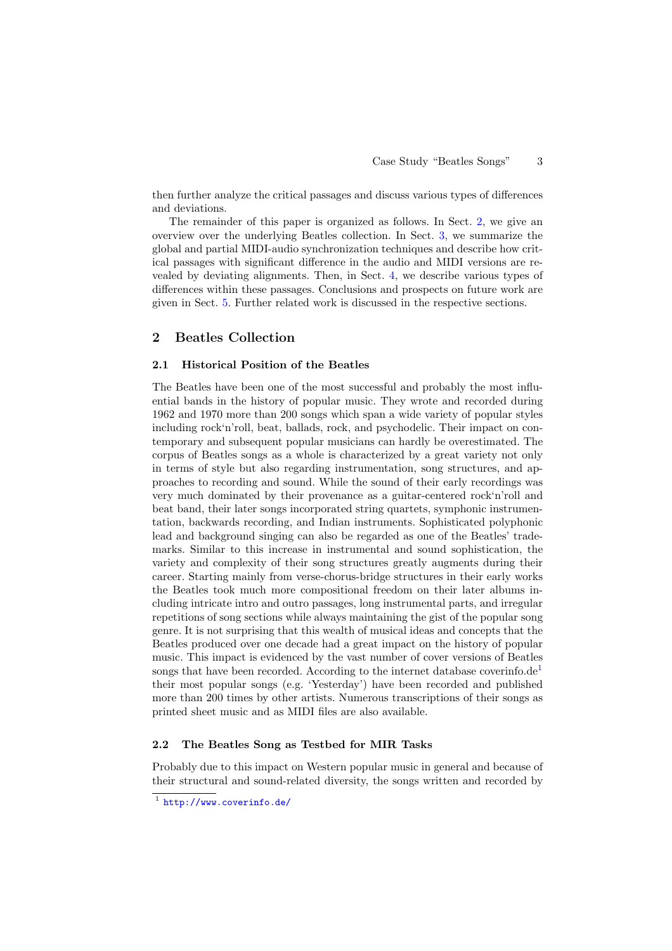then further analyze the critical passages and discuss various types of differences and deviations.

The remainder of this paper is organized as follows. In Sect. [2,](#page-2-0) we give an overview over the underlying Beatles collection. In Sect. [3,](#page-4-0) we summarize the global and partial MIDI-audio synchronization techniques and describe how critical passages with significant difference in the audio and MIDI versions are revealed by deviating alignments. Then, in Sect. [4,](#page-8-0) we describe various types of differences within these passages. Conclusions and prospects on future work are given in Sect. [5.](#page-12-2) Further related work is discussed in the respective sections.

## <span id="page-2-0"></span>2 Beatles Collection

#### 2.1 Historical Position of the Beatles

The Beatles have been one of the most successful and probably the most influential bands in the history of popular music. They wrote and recorded during 1962 and 1970 more than 200 songs which span a wide variety of popular styles including rock'n'roll, beat, ballads, rock, and psychodelic. Their impact on contemporary and subsequent popular musicians can hardly be overestimated. The corpus of Beatles songs as a whole is characterized by a great variety not only in terms of style but also regarding instrumentation, song structures, and approaches to recording and sound. While the sound of their early recordings was very much dominated by their provenance as a guitar-centered rock'n'roll and beat band, their later songs incorporated string quartets, symphonic instrumentation, backwards recording, and Indian instruments. Sophisticated polyphonic lead and background singing can also be regarded as one of the Beatles' trademarks. Similar to this increase in instrumental and sound sophistication, the variety and complexity of their song structures greatly augments during their career. Starting mainly from verse-chorus-bridge structures in their early works the Beatles took much more compositional freedom on their later albums including intricate intro and outro passages, long instrumental parts, and irregular repetitions of song sections while always maintaining the gist of the popular song genre. It is not surprising that this wealth of musical ideas and concepts that the Beatles produced over one decade had a great impact on the history of popular music. This impact is evidenced by the vast number of cover versions of Beatles songs that have been recorded. According to the internet database coverinfo.de<sup>[1](#page-2-1)</sup> their most popular songs (e.g. 'Yesterday') have been recorded and published more than 200 times by other artists. Numerous transcriptions of their songs as printed sheet music and as MIDI files are also available.

#### 2.2 The Beatles Song as Testbed for MIR Tasks

Probably due to this impact on Western popular music in general and because of their structural and sound-related diversity, the songs written and recorded by

<span id="page-2-1"></span><sup>&</sup>lt;sup>1</sup> <http://www.coverinfo.de/>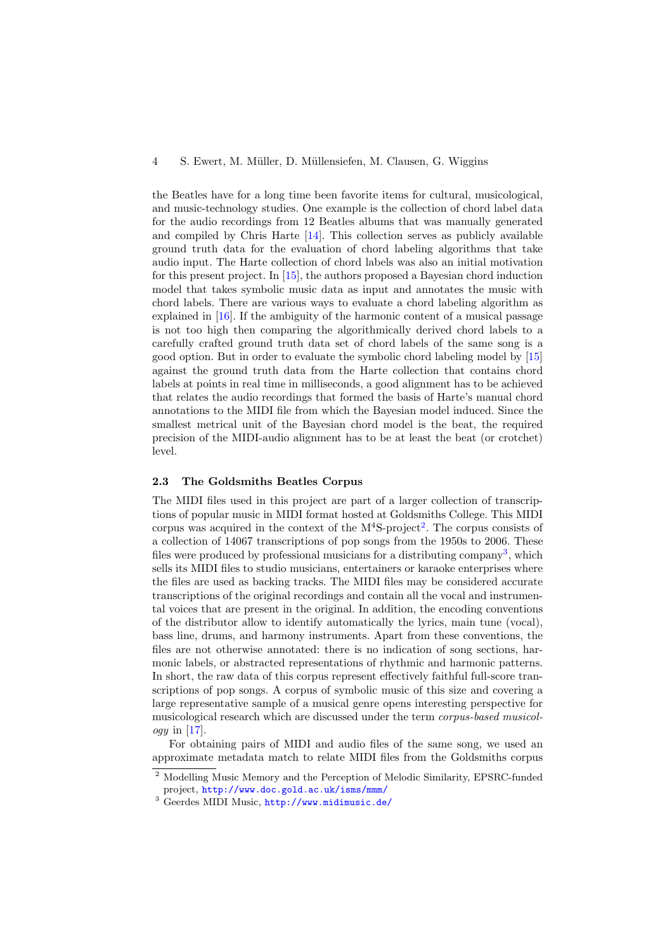#### 4 S. Ewert, M. M¨uller, D. M¨ullensiefen, M. Clausen, G. Wiggins

the Beatles have for a long time been favorite items for cultural, musicological, and music-technology studies. One example is the collection of chord label data for the audio recordings from 12 Beatles albums that was manually generated and compiled by Chris Harte [\[14\]](#page-13-11). This collection serves as publicly available ground truth data for the evaluation of chord labeling algorithms that take audio input. The Harte collection of chord labels was also an initial motivation for this present project. In [\[15\]](#page-13-12), the authors proposed a Bayesian chord induction model that takes symbolic music data as input and annotates the music with chord labels. There are various ways to evaluate a chord labeling algorithm as explained in [\[16\]](#page-13-13). If the ambiguity of the harmonic content of a musical passage is not too high then comparing the algorithmically derived chord labels to a carefully crafted ground truth data set of chord labels of the same song is a good option. But in order to evaluate the symbolic chord labeling model by [\[15\]](#page-13-12) against the ground truth data from the Harte collection that contains chord labels at points in real time in milliseconds, a good alignment has to be achieved that relates the audio recordings that formed the basis of Harte's manual chord annotations to the MIDI file from which the Bayesian model induced. Since the smallest metrical unit of the Bayesian chord model is the beat, the required precision of the MIDI-audio alignment has to be at least the beat (or crotchet) level.

#### <span id="page-3-2"></span>2.3 The Goldsmiths Beatles Corpus

The MIDI files used in this project are part of a larger collection of transcriptions of popular music in MIDI format hosted at Goldsmiths College. This MIDI corpus was acquired in the context of the  $M<sup>4</sup>S$ -project<sup>2</sup>. The corpus consists of $M<sup>4</sup>S$ -project<sup>2</sup>. The corpus consists of $M<sup>4</sup>S$ -project<sup>2</sup>. The corpus consists ofa collection of 14067 transcriptions of pop songs from the 1950s to 2006. These files were produced by professional musicians for a distributing company<sup>[3](#page-3-1)</sup>, which sells its MIDI files to studio musicians, entertainers or karaoke enterprises where the files are used as backing tracks. The MIDI files may be considered accurate transcriptions of the original recordings and contain all the vocal and instrumental voices that are present in the original. In addition, the encoding conventions of the distributor allow to identify automatically the lyrics, main tune (vocal), bass line, drums, and harmony instruments. Apart from these conventions, the files are not otherwise annotated: there is no indication of song sections, harmonic labels, or abstracted representations of rhythmic and harmonic patterns. In short, the raw data of this corpus represent effectively faithful full-score transcriptions of pop songs. A corpus of symbolic music of this size and covering a large representative sample of a musical genre opens interesting perspective for musicological research which are discussed under the term corpus-based musicol*ogy* in [\[17\]](#page-13-14).

For obtaining pairs of MIDI and audio files of the same song, we used an approximate metadata match to relate MIDI files from the Goldsmiths corpus

<sup>2</sup> Modelling Music Memory and the Perception of Melodic Similarity, EPSRC-funded project, <http://www.doc.gold.ac.uk/isms/mmm/>

<span id="page-3-1"></span><span id="page-3-0"></span><sup>3</sup> Geerdes MIDI Music, <http://www.midimusic.de/>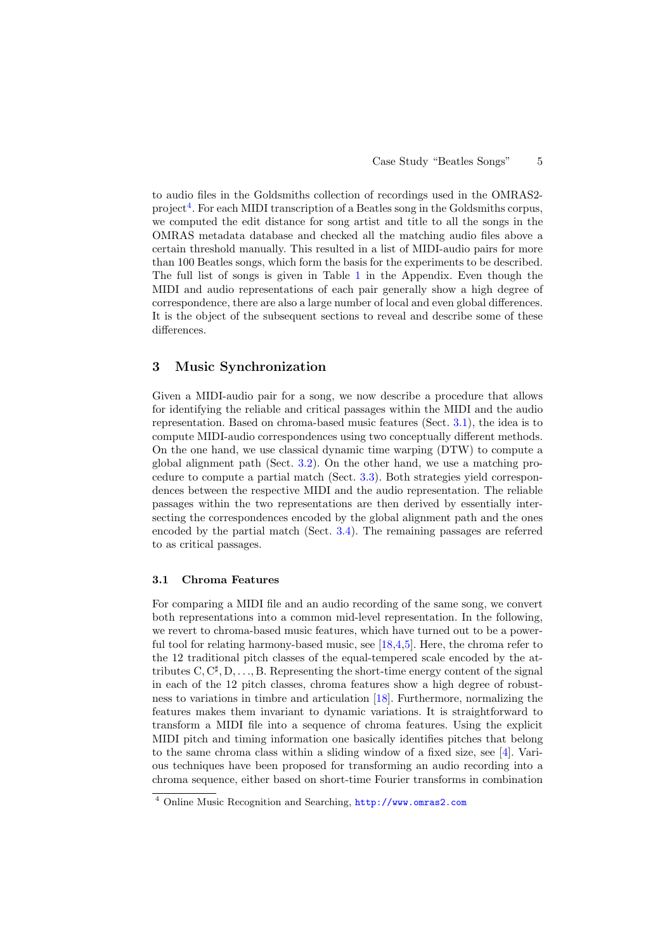to audio files in the Goldsmiths collection of recordings used in the OMRAS2- project<sup>[4](#page-4-1)</sup>. For each MIDI transcription of a Beatles song in the Goldsmiths corpus, we computed the edit distance for song artist and title to all the songs in the OMRAS metadata database and checked all the matching audio files above a certain threshold manually. This resulted in a list of MIDI-audio pairs for more than 100 Beatles songs, which form the basis for the experiments to be described. The full list of songs is given in Table [1](#page-14-0) in the Appendix. Even though the MIDI and audio representations of each pair generally show a high degree of correspondence, there are also a large number of local and even global differences. It is the object of the subsequent sections to reveal and describe some of these differences.

## <span id="page-4-0"></span>3 Music Synchronization

Given a MIDI-audio pair for a song, we now describe a procedure that allows for identifying the reliable and critical passages within the MIDI and the audio representation. Based on chroma-based music features (Sect. [3.1\)](#page-4-2), the idea is to compute MIDI-audio correspondences using two conceptually different methods. On the one hand, we use classical dynamic time warping (DTW) to compute a global alignment path (Sect. [3.2\)](#page-5-0). On the other hand, we use a matching procedure to compute a partial match (Sect. [3.3\)](#page-6-0). Both strategies yield correspondences between the respective MIDI and the audio representation. The reliable passages within the two representations are then derived by essentially intersecting the correspondences encoded by the global alignment path and the ones encoded by the partial match (Sect. [3.4\)](#page-7-0). The remaining passages are referred to as critical passages.

#### <span id="page-4-2"></span>3.1 Chroma Features

For comparing a MIDI file and an audio recording of the same song, we convert both representations into a common mid-level representation. In the following, we revert to chroma-based music features, which have turned out to be a power-ful tool for relating harmony-based music, see [\[18](#page-13-15)[,4](#page-13-1)[,5\]](#page-13-2). Here, the chroma refer to the 12 traditional pitch classes of the equal-tempered scale encoded by the attributes  $C, C^{\sharp}, D, \ldots, B$ . Representing the short-time energy content of the signal in each of the 12 pitch classes, chroma features show a high degree of robustness to variations in timbre and articulation [\[18\]](#page-13-15). Furthermore, normalizing the features makes them invariant to dynamic variations. It is straightforward to transform a MIDI file into a sequence of chroma features. Using the explicit MIDI pitch and timing information one basically identifies pitches that belong to the same chroma class within a sliding window of a fixed size, see [\[4\]](#page-13-1). Various techniques have been proposed for transforming an audio recording into a chroma sequence, either based on short-time Fourier transforms in combination

<span id="page-4-1"></span><sup>4</sup> Online Music Recognition and Searching, <http://www.omras2.com>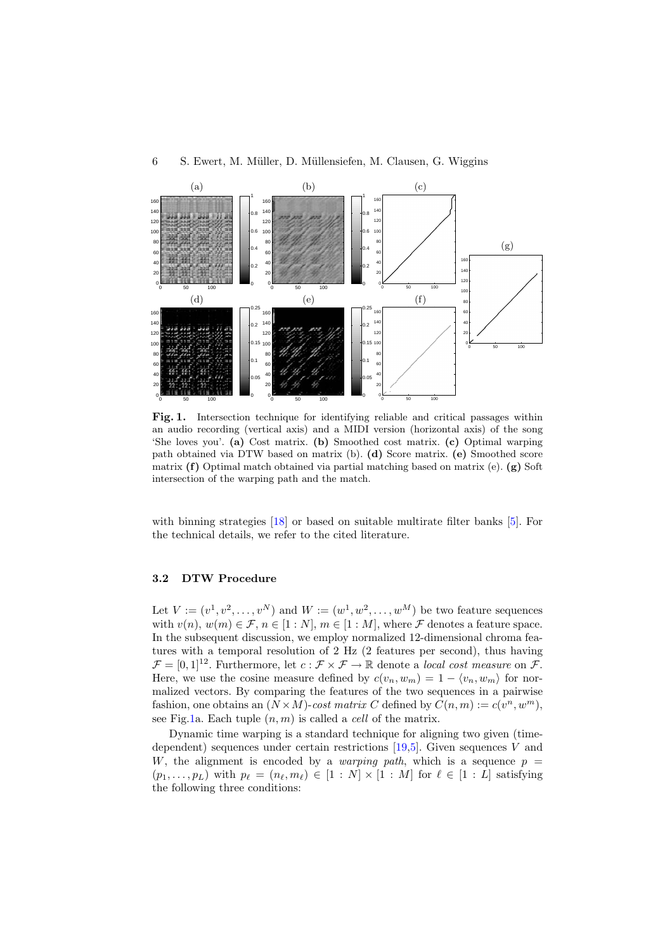



<span id="page-5-1"></span>Fig. 1. Intersection technique for identifying reliable and critical passages within an audio recording (vertical axis) and a MIDI version (horizontal axis) of the song 'She loves you'. (a) Cost matrix. (b) Smoothed cost matrix. (c) Optimal warping path obtained via DTW based on matrix (b). (d) Score matrix. (e) Smoothed score matrix (f) Optimal match obtained via partial matching based on matrix (e). (g) Soft intersection of the warping path and the match.

with binning strategies  $[18]$  or based on suitable multirate filter banks  $[5]$ . For the technical details, we refer to the cited literature.

## <span id="page-5-0"></span>3.2 DTW Procedure

Let  $V := (v^1, v^2, \dots, v^N)$  and  $W := (w^1, w^2, \dots, w^M)$  be two feature sequences with  $v(n)$ ,  $w(m) \in \mathcal{F}$ ,  $n \in [1:N]$ ,  $m \in [1:M]$ , where  $\mathcal F$  denotes a feature space. In the subsequent discussion, we employ normalized 12-dimensional chroma features with a temporal resolution of 2 Hz (2 features per second), thus having  $\mathcal{F} = [0, 1]^{12}$ . Furthermore, let  $c : \mathcal{F} \times \mathcal{F} \to \mathbb{R}$  denote a *local cost measure* on  $\mathcal{F}$ . Here, we use the cosine measure defined by  $c(v_n, w_m) = 1 - \langle v_n, w_m \rangle$  for normalized vectors. By comparing the features of the two sequences in a pairwise fashion, one obtains an  $(N \times M)$ -cost matrix C defined by  $C(n, m) := c(v^n, w^m)$ , see Fig[.1a](#page-5-1). Each tuple  $(n, m)$  is called a *cell* of the matrix.

Dynamic time warping is a standard technique for aligning two given (timedependent) sequences under certain restrictions  $[19,5]$  $[19,5]$ . Given sequences V and W, the alignment is encoded by a *warping path*, which is a sequence  $p =$  $(p_1, \ldots, p_L)$  with  $p_\ell = (n_\ell, m_\ell) \in [1 : N] \times [1 : M]$  for  $\ell \in [1 : L]$  satisfying the following three conditions: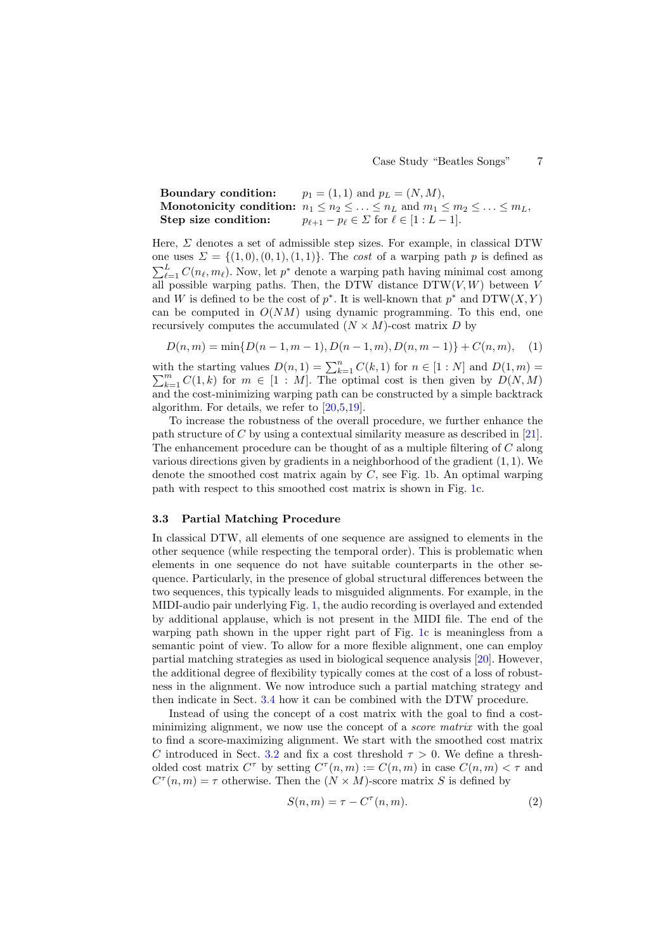**Boundary condition:**  $p_1 = (1, 1)$  and  $p_L = (N, M)$ , Monotonicity condition:  $n_1 \leq n_2 \leq \ldots \leq n_L$  and  $m_1 \leq m_2 \leq \ldots \leq m_L$ , Step size condition:  $p_{\ell+1} - p_{\ell} \in \Sigma$  for  $\ell \in [1:L-1].$ 

Here,  $\Sigma$  denotes a set of admissible step sizes. For example, in classical DTW one uses  $\Sigma = \{(1,0), (0,1), (1,1)\}.$  The cost of a warping path p is defined as  $\sum_{\ell=1}^{L} C(n_{\ell}, m_{\ell})$ . Now, let  $p^*$  denote a warping path having minimal cost among all possible warping paths. Then, the DTW distance  $DTW(V, W)$  between V and W is defined to be the cost of  $p^*$ . It is well-known that  $p^*$  and  $DTW(X, Y)$ can be computed in  $O(NM)$  using dynamic programming. To this end, one recursively computes the accumulated  $(N \times M)$ -cost matrix D by

$$
D(n,m) = \min\{D(n-1,m-1), D(n-1,m), D(n,m-1)\} + C(n,m), \quad (1)
$$

with the starting values  $D(n, 1) = \sum_{k=1}^{n} C(k, 1)$  for  $n \in [1 : N]$  and  $D(1, m) =$  $\sum_{k=1}^{m} C(1, k)$  for  $m \in [1 : M]$ . The optimal cost is then given by  $D(N, M)$ and the cost-minimizing warping path can be constructed by a simple backtrack algorithm. For details, we refer to [\[20,](#page-13-17)[5,](#page-13-2)[19\]](#page-13-16).

To increase the robustness of the overall procedure, we further enhance the path structure of C by using a contextual similarity measure as described in [\[21\]](#page-13-18). The enhancement procedure can be thought of as a multiple filtering of C along various directions given by gradients in a neighborhood of the gradient  $(1, 1)$ . We denote the smoothed cost matrix again by  $C$ , see Fig. [1b](#page-5-1). An optimal warping path with respect to this smoothed cost matrix is shown in Fig. [1c](#page-5-1).

#### <span id="page-6-0"></span>3.3 Partial Matching Procedure

In classical DTW, all elements of one sequence are assigned to elements in the other sequence (while respecting the temporal order). This is problematic when elements in one sequence do not have suitable counterparts in the other sequence. Particularly, in the presence of global structural differences between the two sequences, this typically leads to misguided alignments. For example, in the MIDI-audio pair underlying Fig. [1,](#page-5-1) the audio recording is overlayed and extended by additional applause, which is not present in the MIDI file. The end of the warping path shown in the upper right part of Fig. [1c](#page-5-1) is meaningless from a semantic point of view. To allow for a more flexible alignment, one can employ partial matching strategies as used in biological sequence analysis [\[20\]](#page-13-17). However, the additional degree of flexibility typically comes at the cost of a loss of robustness in the alignment. We now introduce such a partial matching strategy and then indicate in Sect. [3.4](#page-7-0) how it can be combined with the DTW procedure.

Instead of using the concept of a cost matrix with the goal to find a costminimizing alignment, we now use the concept of a *score matrix* with the goal to find a score-maximizing alignment. We start with the smoothed cost matrix C introduced in Sect. [3.2](#page-5-0) and fix a cost threshold  $\tau > 0$ . We define a thresholded cost matrix  $C^{\tau}$  by setting  $C^{\tau}(n,m) := C(n,m)$  in case  $C(n,m) < \tau$  and  $C^{\tau}(n,m) = \tau$  otherwise. Then the  $(N \times M)$ -score matrix S is defined by

$$
S(n,m) = \tau - C^{\tau}(n,m). \tag{2}
$$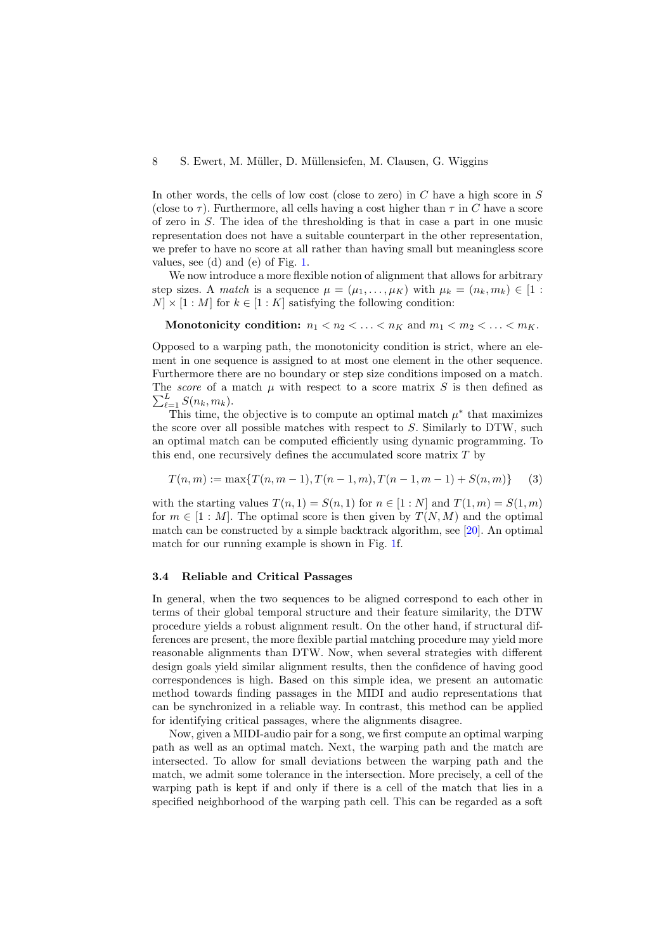In other words, the cells of low cost (close to zero) in  $C$  have a high score in  $S$ (close to  $\tau$ ). Furthermore, all cells having a cost higher than  $\tau$  in C have a score of zero in S. The idea of the thresholding is that in case a part in one music representation does not have a suitable counterpart in the other representation, we prefer to have no score at all rather than having small but meaningless score values, see (d) and (e) of Fig. [1.](#page-5-1)

We now introduce a more flexible notion of alignment that allows for arbitrary step sizes. A match is a sequence  $\mu = (\mu_1, \ldots, \mu_K)$  with  $\mu_k = (n_k, m_k) \in [1 :$  $N \times [1 : M]$  for  $k \in [1 : K]$  satisfying the following condition:

Monotonicity condition:  $n_1 < n_2 < \ldots < n_K$  and  $m_1 < m_2 < \ldots < m_K$ .

Opposed to a warping path, the monotonicity condition is strict, where an element in one sequence is assigned to at most one element in the other sequence. Furthermore there are no boundary or step size conditions imposed on a match. The *score* of a match  $\mu$  with respect to a score matrix S is then defined as  $\sum_{\ell=1}^L S(n_k, m_k)$ .

This time, the objective is to compute an optimal match  $\mu^*$  that maximizes the score over all possible matches with respect to  $S$ . Similarly to DTW, such an optimal match can be computed efficiently using dynamic programming. To this end, one recursively defines the accumulated score matrix  $T$  by

$$
T(n,m) := \max\{T(n,m-1), T(n-1,m), T(n-1,m-1) + S(n,m)\} \tag{3}
$$

with the starting values  $T(n, 1) = S(n, 1)$  for  $n \in [1:N]$  and  $T(1,m) = S(1,m)$ for  $m \in [1 : M]$ . The optimal score is then given by  $T(N, M)$  and the optimal match can be constructed by a simple backtrack algorithm, see [\[20\]](#page-13-17). An optimal match for our running example is shown in Fig. [1f](#page-5-1).

#### <span id="page-7-0"></span>3.4 Reliable and Critical Passages

In general, when the two sequences to be aligned correspond to each other in terms of their global temporal structure and their feature similarity, the DTW procedure yields a robust alignment result. On the other hand, if structural differences are present, the more flexible partial matching procedure may yield more reasonable alignments than DTW. Now, when several strategies with different design goals yield similar alignment results, then the confidence of having good correspondences is high. Based on this simple idea, we present an automatic method towards finding passages in the MIDI and audio representations that can be synchronized in a reliable way. In contrast, this method can be applied for identifying critical passages, where the alignments disagree.

Now, given a MIDI-audio pair for a song, we first compute an optimal warping path as well as an optimal match. Next, the warping path and the match are intersected. To allow for small deviations between the warping path and the match, we admit some tolerance in the intersection. More precisely, a cell of the warping path is kept if and only if there is a cell of the match that lies in a specified neighborhood of the warping path cell. This can be regarded as a soft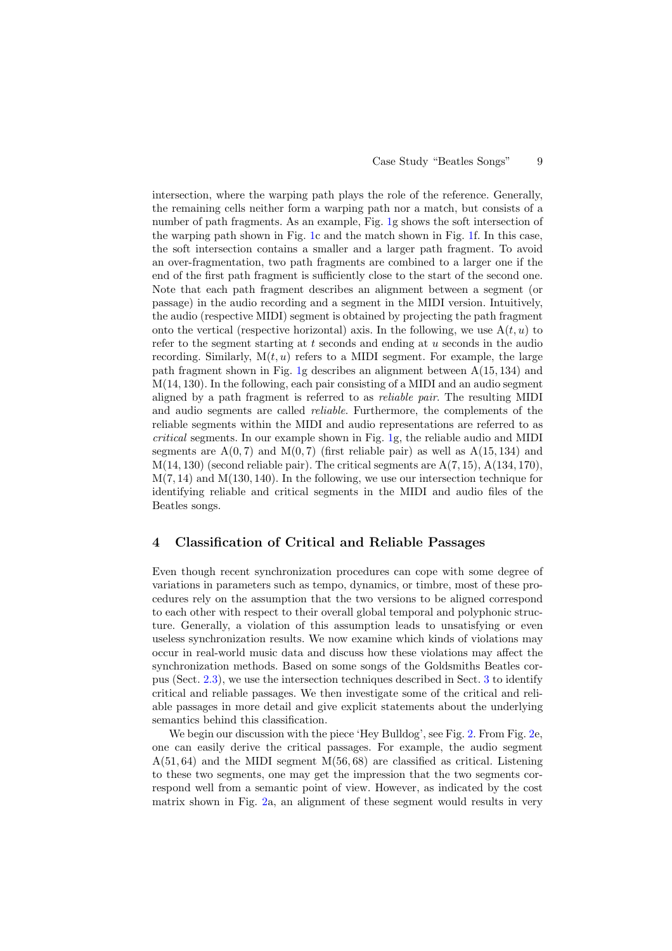intersection, where the warping path plays the role of the reference. Generally, the remaining cells neither form a warping path nor a match, but consists of a number of path fragments. As an example, Fig. [1g](#page-5-1) shows the soft intersection of the warping path shown in Fig. [1c](#page-5-1) and the match shown in Fig. [1f](#page-5-1). In this case, the soft intersection contains a smaller and a larger path fragment. To avoid an over-fragmentation, two path fragments are combined to a larger one if the end of the first path fragment is sufficiently close to the start of the second one. Note that each path fragment describes an alignment between a segment (or passage) in the audio recording and a segment in the MIDI version. Intuitively, the audio (respective MIDI) segment is obtained by projecting the path fragment onto the vertical (respective horizontal) axis. In the following, we use  $A(t, u)$  to refer to the segment starting at  $t$  seconds and ending at  $u$  seconds in the audio recording. Similarly,  $M(t, u)$  refers to a MIDI segment. For example, the large path fragment shown in Fig. [1g](#page-5-1) describes an alignment between A(15, 134) and  $M(14, 130)$ . In the following, each pair consisting of a MIDI and an audio segment aligned by a path fragment is referred to as reliable pair. The resulting MIDI and audio segments are called reliable. Furthermore, the complements of the reliable segments within the MIDI and audio representations are referred to as critical segments. In our example shown in Fig. [1g](#page-5-1), the reliable audio and MIDI segments are  $A(0, 7)$  and  $M(0, 7)$  (first reliable pair) as well as  $A(15, 134)$  and  $M(14, 130)$  (second reliable pair). The critical segments are  $A(7, 15)$ ,  $A(134, 170)$ ,  $M(7, 14)$  and  $M(130, 140)$ . In the following, we use our intersection technique for identifying reliable and critical segments in the MIDI and audio files of the Beatles songs.

#### <span id="page-8-0"></span>4 Classification of Critical and Reliable Passages

Even though recent synchronization procedures can cope with some degree of variations in parameters such as tempo, dynamics, or timbre, most of these procedures rely on the assumption that the two versions to be aligned correspond to each other with respect to their overall global temporal and polyphonic structure. Generally, a violation of this assumption leads to unsatisfying or even useless synchronization results. We now examine which kinds of violations may occur in real-world music data and discuss how these violations may affect the synchronization methods. Based on some songs of the Goldsmiths Beatles corpus (Sect. [2.3\)](#page-3-2), we use the intersection techniques described in Sect. [3](#page-4-0) to identify critical and reliable passages. We then investigate some of the critical and reliable passages in more detail and give explicit statements about the underlying semantics behind this classification.

We begin our discussion with the piece 'Hey Bulldog', see Fig. [2.](#page-9-0) From Fig. [2e](#page-9-0), one can easily derive the critical passages. For example, the audio segment  $A(51, 64)$  and the MIDI segment  $M(56, 68)$  are classified as critical. Listening to these two segments, one may get the impression that the two segments correspond well from a semantic point of view. However, as indicated by the cost matrix shown in Fig. [2a](#page-9-0), an alignment of these segment would results in very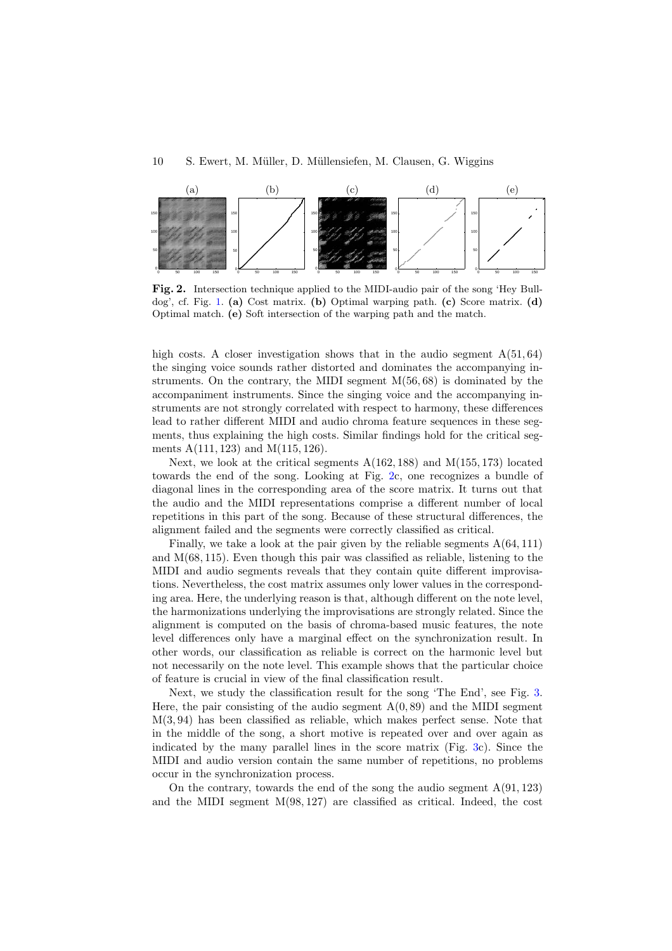#### 10 S. Ewert, M. M¨uller, D. M¨ullensiefen, M. Clausen, G. Wiggins



<span id="page-9-0"></span>Fig. 2. Intersection technique applied to the MIDI-audio pair of the song 'Hey Bull-dog', cf. Fig. [1.](#page-5-1) (a) Cost matrix. (b) Optimal warping path. (c) Score matrix. (d) Optimal match. (e) Soft intersection of the warping path and the match.

high costs. A closer investigation shows that in the audio segment  $A(51, 64)$ the singing voice sounds rather distorted and dominates the accompanying instruments. On the contrary, the MIDI segment M(56, 68) is dominated by the accompaniment instruments. Since the singing voice and the accompanying instruments are not strongly correlated with respect to harmony, these differences lead to rather different MIDI and audio chroma feature sequences in these segments, thus explaining the high costs. Similar findings hold for the critical segments A(111, 123) and M(115, 126).

Next, we look at the critical segments A(162, 188) and M(155, 173) located towards the end of the song. Looking at Fig. [2c](#page-9-0), one recognizes a bundle of diagonal lines in the corresponding area of the score matrix. It turns out that the audio and the MIDI representations comprise a different number of local repetitions in this part of the song. Because of these structural differences, the alignment failed and the segments were correctly classified as critical.

Finally, we take a look at the pair given by the reliable segments A(64, 111) and  $M(68, 115)$ . Even though this pair was classified as reliable, listening to the MIDI and audio segments reveals that they contain quite different improvisations. Nevertheless, the cost matrix assumes only lower values in the corresponding area. Here, the underlying reason is that, although different on the note level, the harmonizations underlying the improvisations are strongly related. Since the alignment is computed on the basis of chroma-based music features, the note level differences only have a marginal effect on the synchronization result. In other words, our classification as reliable is correct on the harmonic level but not necessarily on the note level. This example shows that the particular choice of feature is crucial in view of the final classification result.

Next, we study the classification result for the song 'The End', see Fig. [3.](#page-10-0) Here, the pair consisting of the audio segment  $A(0, 89)$  and the MIDI segment  $M(3, 94)$  has been classified as reliable, which makes perfect sense. Note that in the middle of the song, a short motive is repeated over and over again as indicated by the many parallel lines in the score matrix (Fig. [3c](#page-10-0)). Since the MIDI and audio version contain the same number of repetitions, no problems occur in the synchronization process.

On the contrary, towards the end of the song the audio segment  $A(91, 123)$ and the MIDI segment M(98, 127) are classified as critical. Indeed, the cost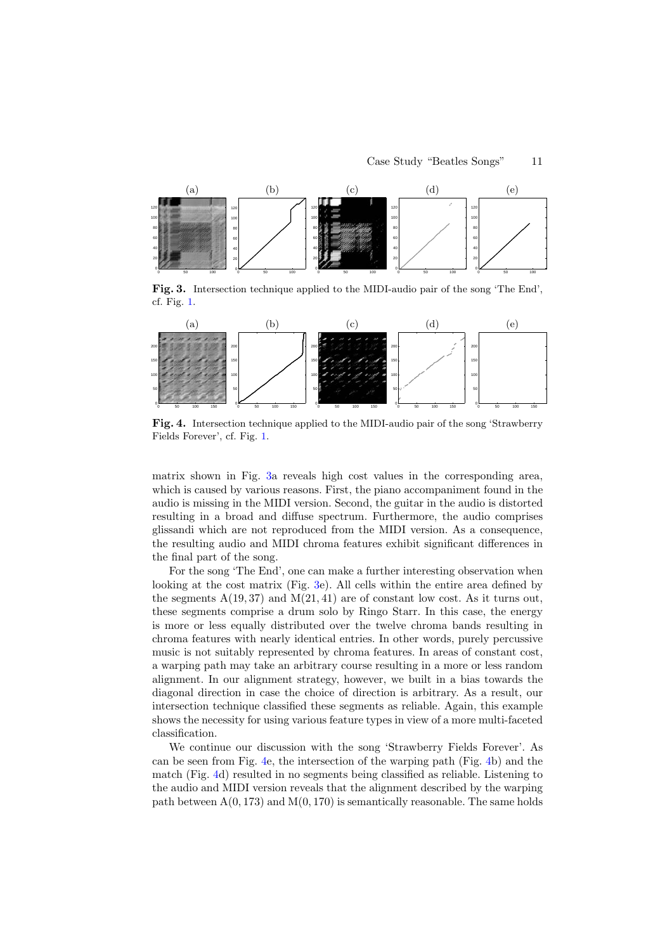

<span id="page-10-0"></span>Fig. 3. Intersection technique applied to the MIDI-audio pair of the song 'The End', cf. Fig. [1.](#page-5-1)



<span id="page-10-1"></span>Fig. 4. Intersection technique applied to the MIDI-audio pair of the song 'Strawberry Fields Forever', cf. Fig. [1.](#page-5-1)

matrix shown in Fig. [3a](#page-10-0) reveals high cost values in the corresponding area, which is caused by various reasons. First, the piano accompaniment found in the audio is missing in the MIDI version. Second, the guitar in the audio is distorted resulting in a broad and diffuse spectrum. Furthermore, the audio comprises glissandi which are not reproduced from the MIDI version. As a consequence, the resulting audio and MIDI chroma features exhibit significant differences in the final part of the song.

For the song 'The End', one can make a further interesting observation when looking at the cost matrix (Fig. [3e](#page-10-0)). All cells within the entire area defined by the segments  $A(19, 37)$  and  $M(21, 41)$  are of constant low cost. As it turns out, these segments comprise a drum solo by Ringo Starr. In this case, the energy is more or less equally distributed over the twelve chroma bands resulting in chroma features with nearly identical entries. In other words, purely percussive music is not suitably represented by chroma features. In areas of constant cost, a warping path may take an arbitrary course resulting in a more or less random alignment. In our alignment strategy, however, we built in a bias towards the diagonal direction in case the choice of direction is arbitrary. As a result, our intersection technique classified these segments as reliable. Again, this example shows the necessity for using various feature types in view of a more multi-faceted classification.

We continue our discussion with the song 'Strawberry Fields Forever'. As can be seen from Fig. [4e](#page-10-1), the intersection of the warping path (Fig. [4b](#page-10-1)) and the match (Fig. [4d](#page-10-1)) resulted in no segments being classified as reliable. Listening to the audio and MIDI version reveals that the alignment described by the warping path between  $A(0, 173)$  and  $M(0, 170)$  is semantically reasonable. The same holds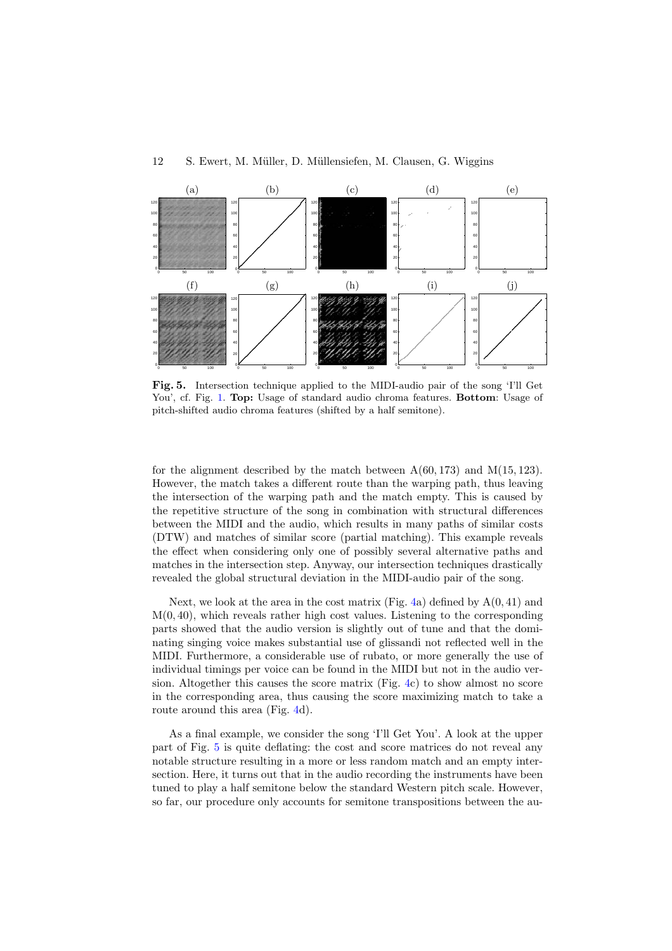

<span id="page-11-0"></span>Fig. 5. Intersection technique applied to the MIDI-audio pair of the song 'I'll Get You', cf. Fig. [1.](#page-5-1) Top: Usage of standard audio chroma features. Bottom: Usage of pitch-shifted audio chroma features (shifted by a half semitone).

for the alignment described by the match between  $A(60, 173)$  and  $M(15, 123)$ . However, the match takes a different route than the warping path, thus leaving the intersection of the warping path and the match empty. This is caused by the repetitive structure of the song in combination with structural differences between the MIDI and the audio, which results in many paths of similar costs (DTW) and matches of similar score (partial matching). This example reveals the effect when considering only one of possibly several alternative paths and matches in the intersection step. Anyway, our intersection techniques drastically revealed the global structural deviation in the MIDI-audio pair of the song.

Next, we look at the area in the cost matrix (Fig. [4a](#page-10-1)) defined by  $A(0, 41)$  and  $M(0, 40)$ , which reveals rather high cost values. Listening to the corresponding parts showed that the audio version is slightly out of tune and that the dominating singing voice makes substantial use of glissandi not reflected well in the MIDI. Furthermore, a considerable use of rubato, or more generally the use of individual timings per voice can be found in the MIDI but not in the audio version. Altogether this causes the score matrix (Fig. [4c](#page-10-1)) to show almost no score in the corresponding area, thus causing the score maximizing match to take a route around this area (Fig. [4d](#page-10-1)).

As a final example, we consider the song 'I'll Get You'. A look at the upper part of Fig. [5](#page-11-0) is quite deflating: the cost and score matrices do not reveal any notable structure resulting in a more or less random match and an empty intersection. Here, it turns out that in the audio recording the instruments have been tuned to play a half semitone below the standard Western pitch scale. However, so far, our procedure only accounts for semitone transpositions between the au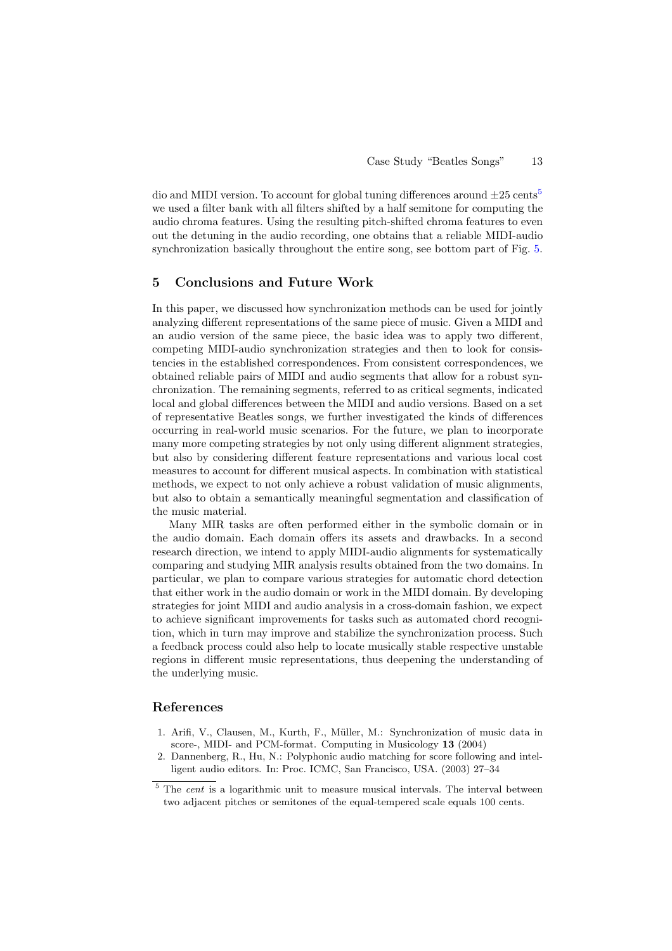dio and MIDI version. To account for global tuning differences around  $\pm 25$  $\pm 25$  cents<sup>5</sup> we used a filter bank with all filters shifted by a half semitone for computing the audio chroma features. Using the resulting pitch-shifted chroma features to even out the detuning in the audio recording, one obtains that a reliable MIDI-audio synchronization basically throughout the entire song, see bottom part of Fig. [5.](#page-11-0)

## <span id="page-12-2"></span>5 Conclusions and Future Work

In this paper, we discussed how synchronization methods can be used for jointly analyzing different representations of the same piece of music. Given a MIDI and an audio version of the same piece, the basic idea was to apply two different, competing MIDI-audio synchronization strategies and then to look for consistencies in the established correspondences. From consistent correspondences, we obtained reliable pairs of MIDI and audio segments that allow for a robust synchronization. The remaining segments, referred to as critical segments, indicated local and global differences between the MIDI and audio versions. Based on a set of representative Beatles songs, we further investigated the kinds of differences occurring in real-world music scenarios. For the future, we plan to incorporate many more competing strategies by not only using different alignment strategies, but also by considering different feature representations and various local cost measures to account for different musical aspects. In combination with statistical methods, we expect to not only achieve a robust validation of music alignments, but also to obtain a semantically meaningful segmentation and classification of the music material.

Many MIR tasks are often performed either in the symbolic domain or in the audio domain. Each domain offers its assets and drawbacks. In a second research direction, we intend to apply MIDI-audio alignments for systematically comparing and studying MIR analysis results obtained from the two domains. In particular, we plan to compare various strategies for automatic chord detection that either work in the audio domain or work in the MIDI domain. By developing strategies for joint MIDI and audio analysis in a cross-domain fashion, we expect to achieve significant improvements for tasks such as automated chord recognition, which in turn may improve and stabilize the synchronization process. Such a feedback process could also help to locate musically stable respective unstable regions in different music representations, thus deepening the understanding of the underlying music.

## References

- <span id="page-12-0"></span>1. Arifi, V., Clausen, M., Kurth, F., M¨uller, M.: Synchronization of music data in score-, MIDI- and PCM-format. Computing in Musicology 13 (2004)
- <span id="page-12-1"></span>2. Dannenberg, R., Hu, N.: Polyphonic audio matching for score following and intelligent audio editors. In: Proc. ICMC, San Francisco, USA. (2003) 27–34

<span id="page-12-3"></span> $5$  The *cent* is a logarithmic unit to measure musical intervals. The interval between two adjacent pitches or semitones of the equal-tempered scale equals 100 cents.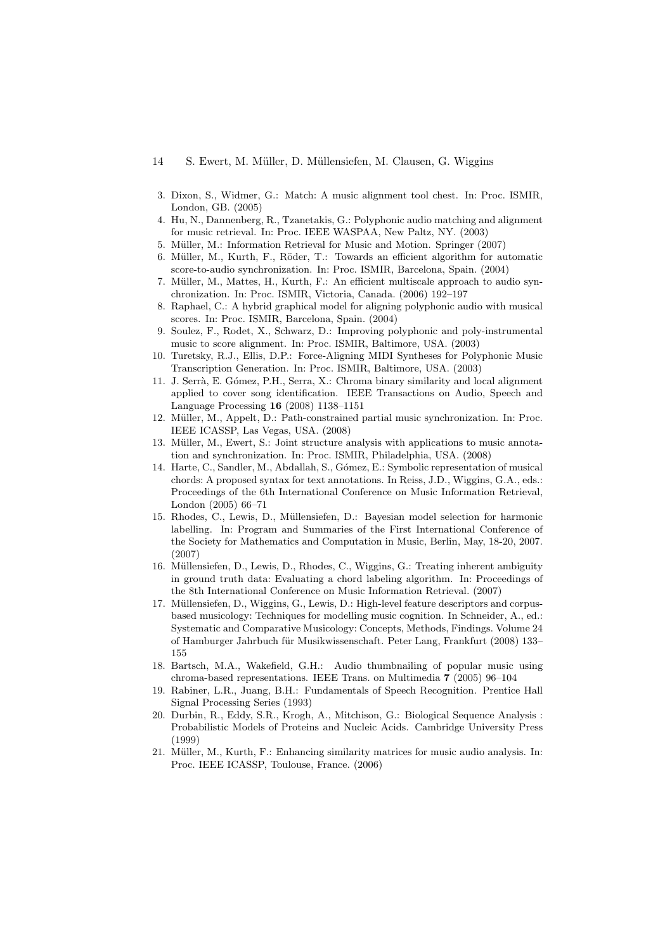- 14 S. Ewert, M. M¨uller, D. M¨ullensiefen, M. Clausen, G. Wiggins
- <span id="page-13-0"></span>3. Dixon, S., Widmer, G.: Match: A music alignment tool chest. In: Proc. ISMIR, London, GB. (2005)
- <span id="page-13-1"></span>4. Hu, N., Dannenberg, R., Tzanetakis, G.: Polyphonic audio matching and alignment for music retrieval. In: Proc. IEEE WASPAA, New Paltz, NY. (2003)
- <span id="page-13-3"></span><span id="page-13-2"></span>5. Müller, M.: Information Retrieval for Music and Motion. Springer (2007)
- <span id="page-13-4"></span>6. Müller, M., Kurth, F., Röder, T.: Towards an efficient algorithm for automatic score-to-audio synchronization. In: Proc. ISMIR, Barcelona, Spain. (2004)
- Müller, M., Mattes, H., Kurth, F.: An efficient multiscale approach to audio synchronization. In: Proc. ISMIR, Victoria, Canada. (2006) 192–197
- <span id="page-13-5"></span>8. Raphael, C.: A hybrid graphical model for aligning polyphonic audio with musical scores. In: Proc. ISMIR, Barcelona, Spain. (2004)
- <span id="page-13-6"></span>9. Soulez, F., Rodet, X., Schwarz, D.: Improving polyphonic and poly-instrumental music to score alignment. In: Proc. ISMIR, Baltimore, USA. (2003)
- <span id="page-13-7"></span>10. Turetsky, R.J., Ellis, D.P.: Force-Aligning MIDI Syntheses for Polyphonic Music Transcription Generation. In: Proc. ISMIR, Baltimore, USA. (2003)
- <span id="page-13-8"></span>11. J. Serrà, E. Gómez, P.H., Serra, X.: Chroma binary similarity and local alignment applied to cover song identification. IEEE Transactions on Audio, Speech and Language Processing 16 (2008) 1138–1151
- <span id="page-13-9"></span>12. Müller, M., Appelt, D.: Path-constrained partial music synchronization. In: Proc. IEEE ICASSP, Las Vegas, USA. (2008)
- <span id="page-13-10"></span>13. Müller, M., Ewert, S.: Joint structure analysis with applications to music annotation and synchronization. In: Proc. ISMIR, Philadelphia, USA. (2008)
- <span id="page-13-11"></span>14. Harte, C., Sandler, M., Abdallah, S., G´omez, E.: Symbolic representation of musical chords: A proposed syntax for text annotations. In Reiss, J.D., Wiggins, G.A., eds.: Proceedings of the 6th International Conference on Music Information Retrieval, London (2005) 66–71
- <span id="page-13-12"></span>15. Rhodes, C., Lewis, D., Müllensiefen, D.: Bayesian model selection for harmonic labelling. In: Program and Summaries of the First International Conference of the Society for Mathematics and Computation in Music, Berlin, May, 18-20, 2007. (2007)
- <span id="page-13-13"></span>16. Müllensiefen, D., Lewis, D., Rhodes, C., Wiggins, G.: Treating inherent ambiguity in ground truth data: Evaluating a chord labeling algorithm. In: Proceedings of the 8th International Conference on Music Information Retrieval. (2007)
- <span id="page-13-14"></span>17. Müllensiefen, D., Wiggins, G., Lewis, D.: High-level feature descriptors and corpusbased musicology: Techniques for modelling music cognition. In Schneider, A., ed.: Systematic and Comparative Musicology: Concepts, Methods, Findings. Volume 24 of Hamburger Jahrbuch für Musikwissenschaft. Peter Lang, Frankfurt (2008) 133– 155
- <span id="page-13-15"></span>18. Bartsch, M.A., Wakefield, G.H.: Audio thumbnailing of popular music using chroma-based representations. IEEE Trans. on Multimedia 7 (2005) 96–104
- <span id="page-13-16"></span>19. Rabiner, L.R., Juang, B.H.: Fundamentals of Speech Recognition. Prentice Hall Signal Processing Series (1993)
- <span id="page-13-17"></span>20. Durbin, R., Eddy, S.R., Krogh, A., Mitchison, G.: Biological Sequence Analysis : Probabilistic Models of Proteins and Nucleic Acids. Cambridge University Press (1999)
- <span id="page-13-18"></span>21. Müller, M., Kurth, F.: Enhancing similarity matrices for music audio analysis. In: Proc. IEEE ICASSP, Toulouse, France. (2006)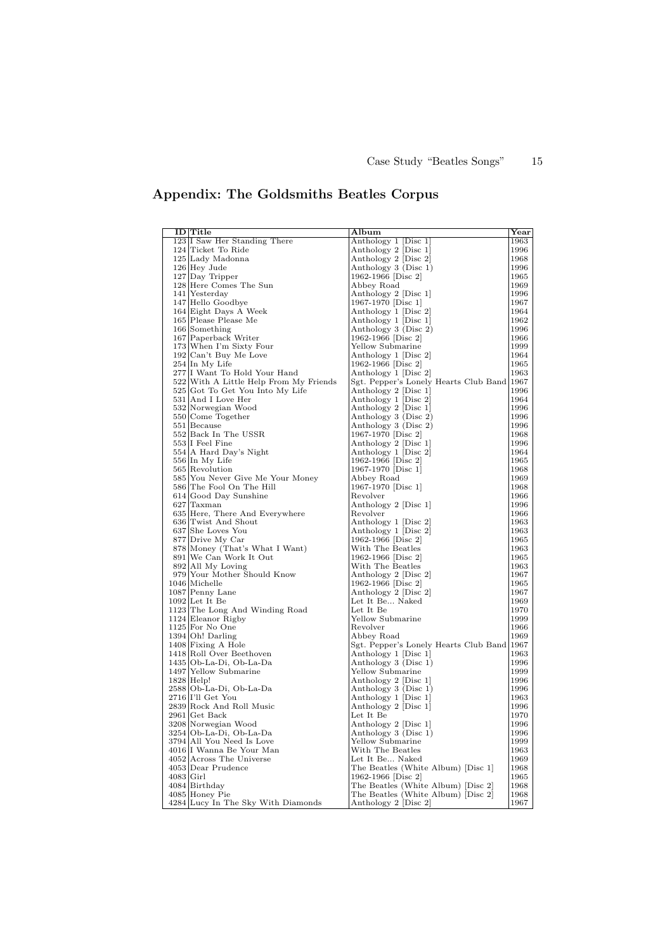# Appendix: The Goldsmiths Beatles Corpus

<span id="page-14-0"></span>

|             | ID Title                               | Album                                      | Year |
|-------------|----------------------------------------|--------------------------------------------|------|
|             | 123 I Saw Her Standing There           | Anthology 1 [Disc 1]                       | 1963 |
|             | 124 Ticket To Ride                     | Anthology 2 [Disc 1]                       | 1996 |
|             | 125 Lady Madonna                       | Anthology 2 [Disc 2]                       | 1968 |
|             | $126$ Hey Jude                         | Anthology 3 (Disc 1)                       | 1996 |
|             | 127 Day Tripper                        | 1962-1966 [Disc 2]                         | 1965 |
|             | 128 Here Comes The Sun                 | Abbey Road                                 | 1969 |
|             | 141 Yesterday                          | Anthology 2 [Disc 1]                       | 1996 |
|             | 147 Hello Goodbye                      | 1967-1970 [Disc 1]                         | 1967 |
|             | 164 Eight Days A Week                  | Anthology 1 [Disc 2]                       | 1964 |
|             | 165 Please Please Me                   | Anthology 1 [Disc 1]                       | 1962 |
|             | $166$ Something                        |                                            | 1996 |
|             | 167 Paperback Writer                   | Anthology 3 (Disc 2)<br>1962-1966 [Disc 2] | 1966 |
|             | 173 When I'm Sixty Four                | Yellow Submarine                           | 1999 |
|             | 192 Can't Buy Me Love                  | Anthology 1 [Disc 2]                       | 1964 |
|             | 254 In My Life                         | 1962-1966 [Disc 2]                         | 1965 |
|             |                                        |                                            | 1963 |
|             | 277 I Want To Hold Your Hand           | Anthology 1 [Disc 2]                       |      |
|             | 522 With A Little Help From My Friends | Sgt. Pepper's Lonely Hearts Club Band 1967 |      |
|             | 525 Got To Get You Into My Life        | Anthology 2 [Disc 1]                       | 1996 |
|             | 531 And I Love Her                     | Anthology 1 Disc 2                         | 1964 |
|             | 532 Norwegian Wood                     | Anthology 2 [Disc 1]                       | 1996 |
|             | 550 Come Together                      | Anthology 3 (Disc 2)                       | 1996 |
|             | 551 Because                            | Anthology 3 (Disc 2)                       | 1996 |
|             | 552 Back In The USSR                   | 1967-1970 [Disc 2]                         | 1968 |
|             | 553 I Feel Fine                        | Anthology 2 [Disc 1]                       | 1996 |
|             | 554 A Hard Day's Night                 | Anthology 1 [Disc 2]                       | 1964 |
|             | 556 In My Life                         | 1962-1966 [Disc 2]                         | 1965 |
|             | 565 Revolution                         | 1967-1970 [Disc 1]                         | 1968 |
|             | 585 You Never Give Me Your Money       | Abbey Road                                 | 1969 |
|             | 586 The Fool On The Hill               | 1967-1970 [Disc 1]                         | 1968 |
|             | 614 Good Day Sunshine                  | Revolver                                   | 1966 |
|             | $627$ Taxman                           | Anthology 2 [Disc 1]                       | 1996 |
|             | 635 Here, There And Everywhere         | Revolver                                   | 1966 |
|             | 636 Twist And Shout                    | Anthology 1 [Disc 2]                       | 1963 |
|             | 637 She Loves You                      | Anthology 1 [Disc 2]                       | 1963 |
|             | 877 Drive My Car                       | 1962-1966 [Disc 2]                         | 1965 |
|             | 878 Money (That's What I Want)         | With The Beatles                           | 1963 |
|             | 891 We Can Work It Out                 | 1962-1966 [Disc 2]                         | 1965 |
|             | 892 All My Loving                      | With The Beatles                           | 1963 |
|             | 979 Your Mother Should Know            | Anthology 2 [Disc 2]                       | 1967 |
|             | 1046 Michelle                          | 1962-1966 [Disc 2]                         | 1965 |
|             | 1087 Penny Lane                        | Anthology 2 [Disc 2]                       | 1967 |
|             | $1092$ Let It Be                       | Let It Be Naked                            | 1969 |
|             | 1123 The Long And Winding Road         | Let It Be                                  | 1970 |
|             | 1124 Eleanor Rigby                     | Yellow Submarine                           | 1999 |
|             | $1125$ For No One                      | Revolver                                   | 1966 |
|             | 1394 Oh! Darling                       | Abbey Road                                 | 1969 |
|             | 1408 Fixing A Hole                     | Sgt. Pepper's Lonely Hearts Club Band 1967 |      |
|             | 1418 Roll Over Beethoven               | Anthology 1 [Disc 1]                       | 1963 |
|             | 1435 Ob-La-Di, Ob-La-Da                | Anthology 3 (Disc 1)                       | 1996 |
|             | 1497 Yellow Submarine                  | Yellow Submarine                           | 1999 |
|             | $1828$ Help!                           | Anthology 2 [Disc 1]                       | 1996 |
|             |                                        |                                            |      |
|             | 2588 Ob-La-Di, Ob-La-Da                | Anthology 3 (Disc 1)                       | 1996 |
|             | $2716$ <sup>[I']</sup> l Get You       | Anthology 1 [Disc 1]                       | 1963 |
|             | 2839 Rock And Roll Music               | Anthology 2 [Disc 1]                       | 1996 |
|             | 2961 Get Back                          | Let It Be                                  | 1970 |
|             | 3208 Norwegian Wood                    | Anthology 2 [Disc 1]                       | 1996 |
|             | 3254 Ob-La-Di, Ob-La-Da                | Anthology 3 (Disc 1)                       | 1996 |
|             | 3794 All You Need Is Love              | Yellow Submarine                           | 1999 |
|             | 4016 I Wanna Be Your Man               | With The Beatles                           | 1963 |
|             | 4052 Across The Universe               | Let It Be Naked                            | 1969 |
|             | 4053 Dear Prudence                     | The Beatles (White Album) [Disc 1]         | 1968 |
| $4083$ Girl |                                        | 1962-1966 [Disc 2]                         | 1965 |
|             | $4084$ Birthday                        | The Beatles (White Album) [Disc 2]         | 1968 |
|             | 4085 Honey Pie                         | The Beatles (White Album) [Disc 2]         | 1968 |
|             | 4284 Lucy In The Sky With Diamonds     | Anthology 2 [Disc 2]                       | 1967 |